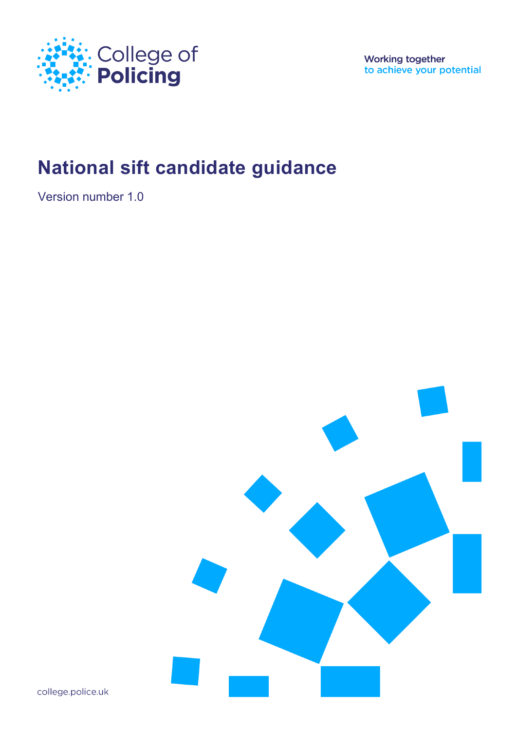

**Working together** to achieve your potential

# **National sift candidate guidance**

Version number 1.0



college.police.uk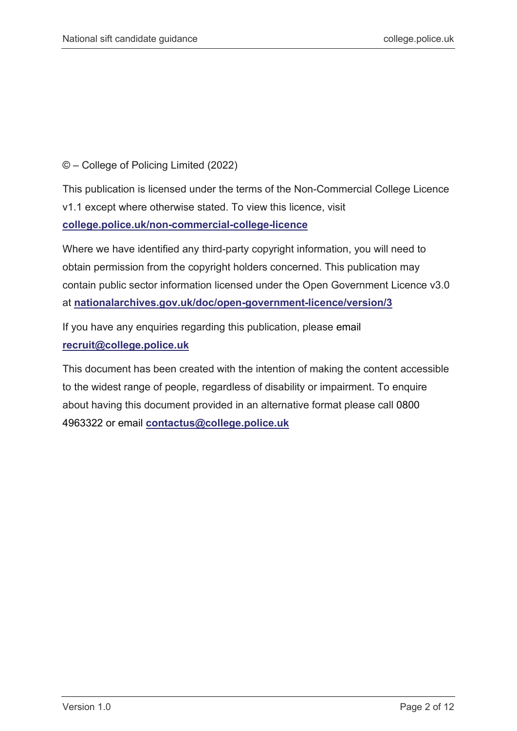#### © – College of Policing Limited (2022)

This publication is licensed under the terms of the Non-Commercial College Licence v1.1 except where otherwise stated. To view this licence, visit **[college.police.uk/non-commercial-college-licence](https://www.college.police.uk/non-commercial-college-licence)**

Where we have identified any third-party copyright information, you will need to obtain permission from the copyright holders concerned. This publication may contain public sector information licensed under the Open Government Licence v3.0 at **[nationalarchives.gov.uk/doc/open-government-licence/version/3](http://www.nationalarchives.gov.uk/doc/open-government-licence/version/3/)**

If you have any enquiries regarding this publication, please email **[recruit@college.police.uk](mailto:recruit@college.police.uk)**

This document has been created with the intention of making the content accessible to the widest range of people, regardless of disability or impairment. To enquire about having this document provided in an alternative format please call 0800 4963322 or email **[contactus@college.police.uk](mailto:contactus@college.police.uk)**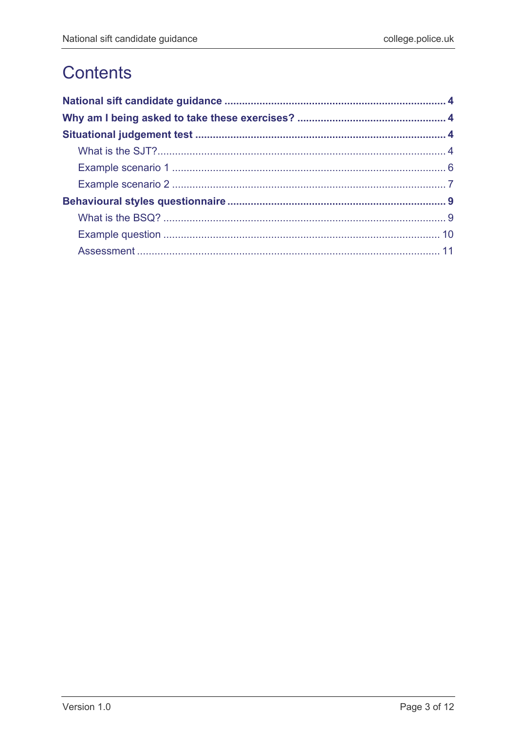# **Contents**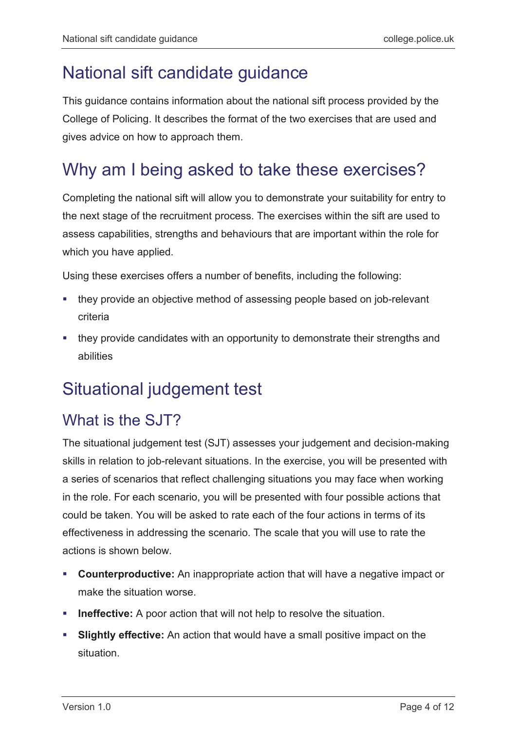## <span id="page-3-0"></span>National sift candidate guidance

This guidance contains information about the national sift process provided by the College of Policing. It describes the format of the two exercises that are used and gives advice on how to approach them.

## <span id="page-3-1"></span>Why am I being asked to take these exercises?

Completing the national sift will allow you to demonstrate your suitability for entry to the next stage of the recruitment process. The exercises within the sift are used to assess capabilities, strengths and behaviours that are important within the role for which you have applied.

Using these exercises offers a number of benefits, including the following:

- they provide an objective method of assessing people based on job-relevant criteria
- **they provide candidates with an opportunity to demonstrate their strengths and** abilities

## <span id="page-3-2"></span>Situational judgement test

## <span id="page-3-3"></span>What is the SJT?

The situational judgement test (SJT) assesses your judgement and decision-making skills in relation to job-relevant situations. In the exercise, you will be presented with a series of scenarios that reflect challenging situations you may face when working in the role. For each scenario, you will be presented with four possible actions that could be taken. You will be asked to rate each of the four actions in terms of its effectiveness in addressing the scenario. The scale that you will use to rate the actions is shown below.

- **Counterproductive:** An inappropriate action that will have a negative impact or make the situation worse.
- **Ineffective:** A poor action that will not help to resolve the situation.
- **Slightly effective:** An action that would have a small positive impact on the situation.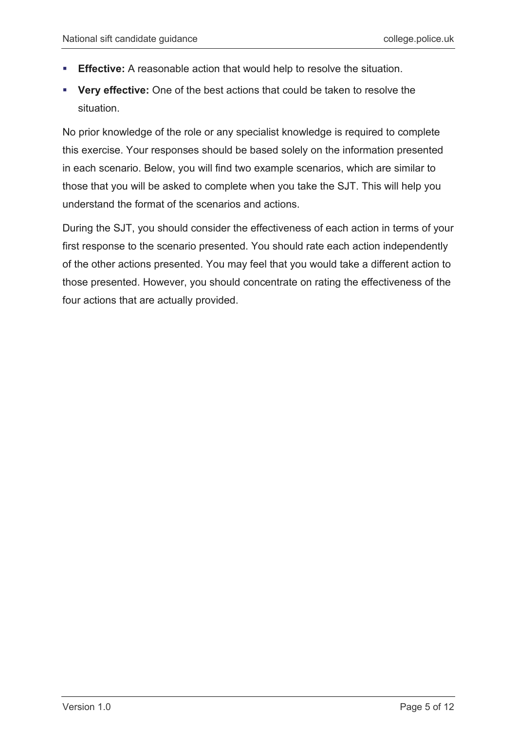- **Effective:** A reasonable action that would help to resolve the situation.
- **Very effective:** One of the best actions that could be taken to resolve the situation.

No prior knowledge of the role or any specialist knowledge is required to complete this exercise. Your responses should be based solely on the information presented in each scenario. Below, you will find two example scenarios, which are similar to those that you will be asked to complete when you take the SJT. This will help you understand the format of the scenarios and actions.

During the SJT, you should consider the effectiveness of each action in terms of your first response to the scenario presented. You should rate each action independently of the other actions presented. You may feel that you would take a different action to those presented. However, you should concentrate on rating the effectiveness of the four actions that are actually provided.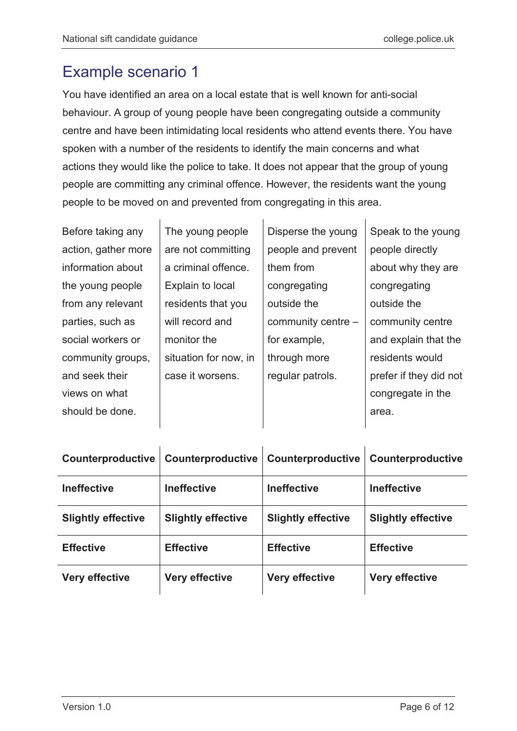## <span id="page-5-0"></span>Example scenario 1

You have identified an area on a local estate that is well known for anti-social behaviour. A group of young people have been congregating outside a community centre and have been intimidating local residents who attend events there. You have spoken with a number of the residents to identify the main concerns and what actions they would like the police to take. It does not appear that the group of young people are committing any criminal offence. However, the residents want the young people to be moved on and prevented from congregating in this area.

| Before taking any   | The young people      | Disperse the young | Speak to the young     |
|---------------------|-----------------------|--------------------|------------------------|
| action, gather more | are not committing    | people and prevent | people directly        |
| information about   | a criminal offence.   | them from          | about why they are     |
| the young people    | Explain to local      | congregating       | congregating           |
| from any relevant   | residents that you    | outside the        | outside the            |
| parties, such as    | will record and       | community centre - | community centre       |
| social workers or   | monitor the           | for example,       | and explain that the   |
| community groups,   | situation for now, in | through more       | residents would        |
| and seek their      | case it worsens.      | regular patrols.   | prefer if they did not |
| views on what       |                       |                    | congregate in the      |
| should be done.     |                       |                    | area.                  |
|                     |                       |                    |                        |

| Counterproductive         | Counterproductive         | Counterproductive         | Counterproductive         |
|---------------------------|---------------------------|---------------------------|---------------------------|
| <b>Ineffective</b>        | <b>Ineffective</b>        | <b>Ineffective</b>        | <b>Ineffective</b>        |
| <b>Slightly effective</b> | <b>Slightly effective</b> | <b>Slightly effective</b> | <b>Slightly effective</b> |
| <b>Effective</b>          | <b>Effective</b>          | <b>Effective</b>          | <b>Effective</b>          |
| <b>Very effective</b>     | <b>Very effective</b>     | <b>Very effective</b>     | <b>Very effective</b>     |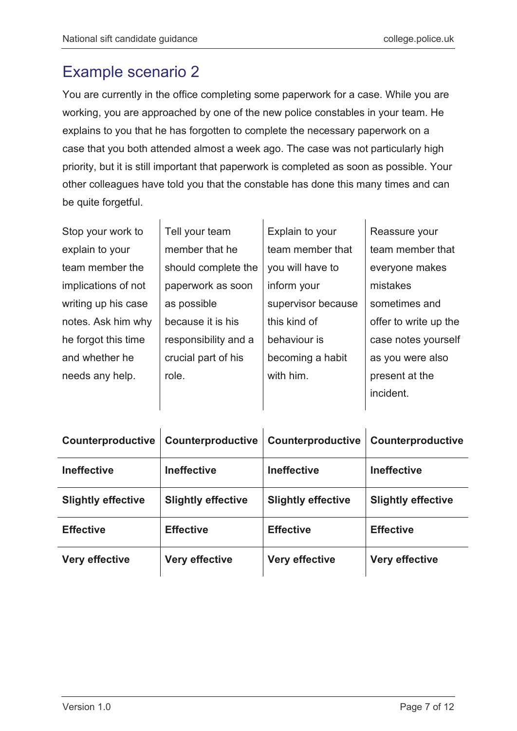## <span id="page-6-0"></span>Example scenario 2

You are currently in the office completing some paperwork for a case. While you are working, you are approached by one of the new police constables in your team. He explains to you that he has forgotten to complete the necessary paperwork on a case that you both attended almost a week ago. The case was not particularly high priority, but it is still important that paperwork is completed as soon as possible. Your other colleagues have told you that the constable has done this many times and can be quite forgetful.

| Stop your work to   | Tell your team       | Explain to your    | Reassure your         |
|---------------------|----------------------|--------------------|-----------------------|
| explain to your     | member that he       | team member that   | team member that      |
| team member the     | should complete the  | you will have to   | everyone makes        |
| implications of not | paperwork as soon    | inform your        | mistakes              |
| writing up his case | as possible          | supervisor because | sometimes and         |
| notes. Ask him why  | because it is his    | this kind of       | offer to write up the |
| he forgot this time | responsibility and a | behaviour is       | case notes yourself   |
| and whether he      | crucial part of his  | becoming a habit   | as you were also      |
| needs any help.     | role.                | with him.          | present at the        |
|                     |                      |                    | incident.             |

| Counterproductive         | Counterproductive         | Counterproductive         | Counterproductive         |
|---------------------------|---------------------------|---------------------------|---------------------------|
| <b>Ineffective</b>        | <b>Ineffective</b>        | <b>Ineffective</b>        | <b>Ineffective</b>        |
| <b>Slightly effective</b> | <b>Slightly effective</b> | <b>Slightly effective</b> | <b>Slightly effective</b> |
| <b>Effective</b>          | <b>Effective</b>          | <b>Effective</b>          | <b>Effective</b>          |
| <b>Very effective</b>     | <b>Very effective</b>     | <b>Very effective</b>     | <b>Very effective</b>     |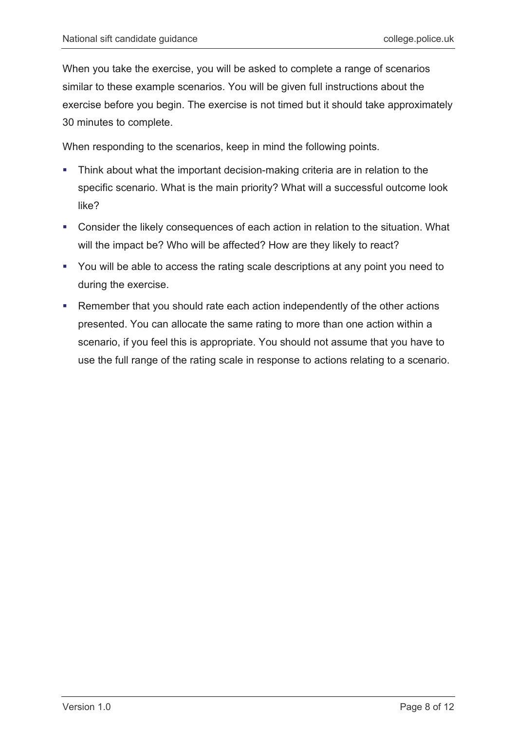When you take the exercise, you will be asked to complete a range of scenarios similar to these example scenarios. You will be given full instructions about the exercise before you begin. The exercise is not timed but it should take approximately 30 minutes to complete.

When responding to the scenarios, keep in mind the following points.

- Think about what the important decision-making criteria are in relation to the specific scenario. What is the main priority? What will a successful outcome look like?
- Consider the likely consequences of each action in relation to the situation. What will the impact be? Who will be affected? How are they likely to react?
- You will be able to access the rating scale descriptions at any point you need to during the exercise.
- Remember that you should rate each action independently of the other actions presented. You can allocate the same rating to more than one action within a scenario, if you feel this is appropriate. You should not assume that you have to use the full range of the rating scale in response to actions relating to a scenario.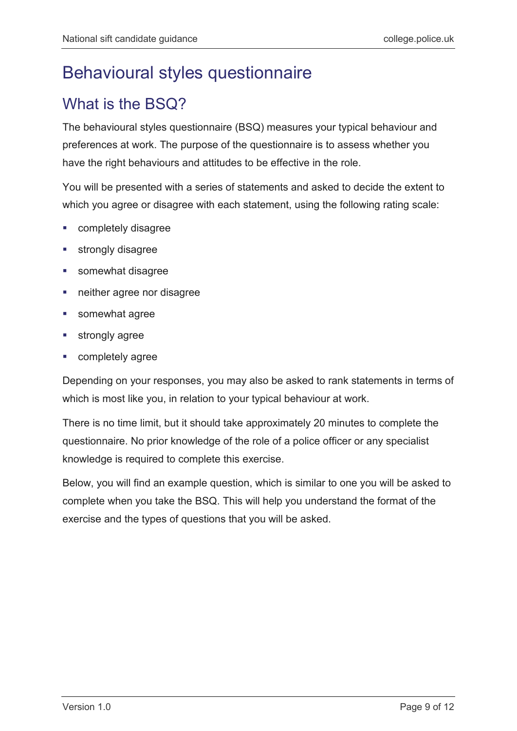# <span id="page-8-0"></span>Behavioural styles questionnaire

## <span id="page-8-1"></span>What is the BSQ?

The behavioural styles questionnaire (BSQ) measures your typical behaviour and preferences at work. The purpose of the questionnaire is to assess whether you have the right behaviours and attitudes to be effective in the role.

You will be presented with a series of statements and asked to decide the extent to which you agree or disagree with each statement, using the following rating scale:

- completely disagree
- **strongly disagree**
- **somewhat disagree**
- neither agree nor disagree
- **somewhat agree**
- **strongly agree**
- **•** completely agree

Depending on your responses, you may also be asked to rank statements in terms of which is most like you, in relation to your typical behaviour at work.

There is no time limit, but it should take approximately 20 minutes to complete the questionnaire. No prior knowledge of the role of a police officer or any specialist knowledge is required to complete this exercise.

Below, you will find an example question, which is similar to one you will be asked to complete when you take the BSQ. This will help you understand the format of the exercise and the types of questions that you will be asked.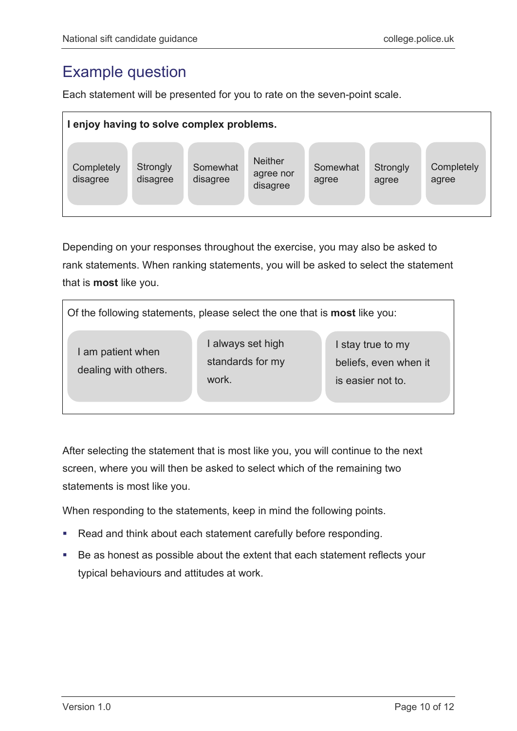## <span id="page-9-0"></span>Example question

Each statement will be presented for you to rate on the seven-point scale.



Depending on your responses throughout the exercise, you may also be asked to rank statements. When ranking statements, you will be asked to select the statement that is **most** like you.

| Of the following statements, please select the one that is <b>most</b> like you:                                                      |  |                       |  |
|---------------------------------------------------------------------------------------------------------------------------------------|--|-----------------------|--|
| I always set high<br>I stay true to my<br>I am patient when<br>standards for my<br>dealing with others.<br>work.<br>is easier not to. |  | beliefs, even when it |  |
|                                                                                                                                       |  |                       |  |

After selecting the statement that is most like you, you will continue to the next screen, where you will then be asked to select which of the remaining two statements is most like you.

When responding to the statements, keep in mind the following points.

- Read and think about each statement carefully before responding.
- Be as honest as possible about the extent that each statement reflects your typical behaviours and attitudes at work.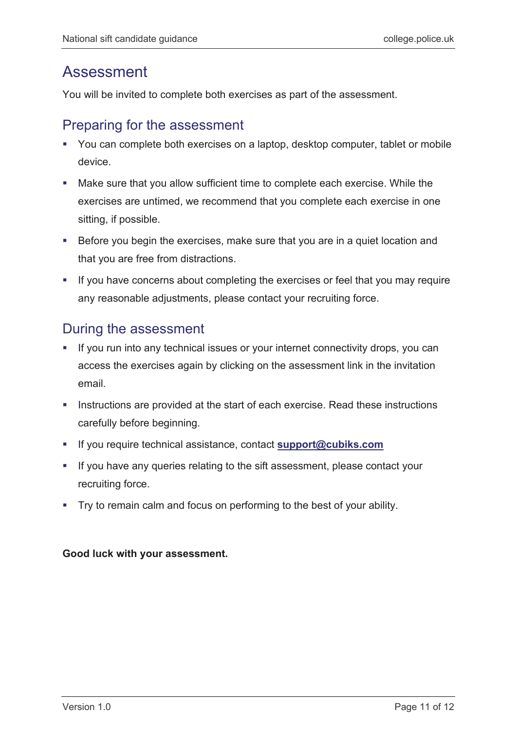## <span id="page-10-0"></span>Assessment

You will be invited to complete both exercises as part of the assessment.

#### Preparing for the assessment

- You can complete both exercises on a laptop, desktop computer, tablet or mobile device.
- Make sure that you allow sufficient time to complete each exercise. While the exercises are untimed, we recommend that you complete each exercise in one sitting, if possible.
- Before you begin the exercises, make sure that you are in a quiet location and that you are free from distractions.
- **If you have concerns about completing the exercises or feel that you may require** any reasonable adjustments, please contact your recruiting force.

#### During the assessment

- **If you run into any technical issues or your internet connectivity drops, you can** access the exercises again by clicking on the assessment link in the invitation email.
- **Instructions are provided at the start of each exercise. Read these instructions** carefully before beginning.
- If you require technical assistance, contact **[support@cubiks.com](mailto:support@cubiks.com)**
- If you have any queries relating to the sift assessment, please contact your recruiting force.
- **Try to remain calm and focus on performing to the best of your ability.**

#### **Good luck with your assessment.**